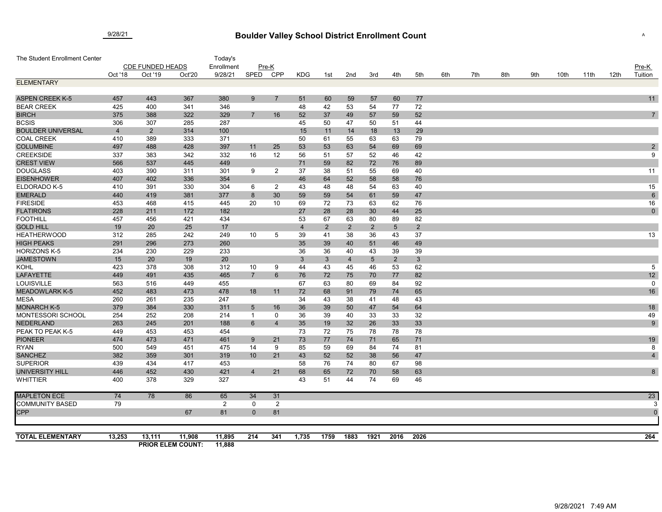## **Boulder Valley School District Enrollment Count** 9/28/21 <sup>A</sup>

| The Student Enrollment Center          |                         |                |                                    | Today's          |                 |                |         |                    |                      |                |                      |                       |     |     |     |     |      |      |      |                 |
|----------------------------------------|-------------------------|----------------|------------------------------------|------------------|-----------------|----------------|---------|--------------------|----------------------|----------------|----------------------|-----------------------|-----|-----|-----|-----|------|------|------|-----------------|
|                                        | <b>CDE FUNDED HEADS</b> |                |                                    | Enrollment       |                 | Pre-K          |         |                    |                      |                |                      |                       |     |     |     |     |      |      |      | Pre-K           |
|                                        | Oct '18                 | Oct '19        | Oct'20                             | 9/28/21          | SPED            | <b>CPP</b>     | KDG     | 1st                | 2nd                  | 3rd            | 4th                  | 5th                   | 6th | 7th | 8th | 9th | 10th | 11th | 12th | Tuition         |
| <b>ELEMENTARY</b>                      |                         |                |                                    |                  |                 |                |         |                    |                      |                |                      |                       |     |     |     |     |      |      |      |                 |
|                                        |                         |                |                                    |                  |                 |                |         |                    |                      |                |                      |                       |     |     |     |     |      |      |      |                 |
| <b>ASPEN CREEK K-5</b>                 | 457                     | 443            | 367                                | 380              | 9               | $\overline{7}$ | 51      | 60                 | 59                   | 57             | 60                   | 77                    |     |     |     |     |      |      |      | 11              |
| <b>BEAR CREEK</b>                      | 425                     | 400            | 341                                | 346              |                 |                | 48      | 42                 | 53                   | 54             | 77                   | 72                    |     |     |     |     |      |      |      |                 |
| <b>BIRCH</b>                           | 375                     | 388            | 322                                | 329              | $\overline{7}$  | 16             | 52      | 37                 | 49                   | 57             | 59                   | 52                    |     |     |     |     |      |      |      | $\overline{7}$  |
| <b>BCSIS</b>                           | 306                     | 307            | 285                                | 287              |                 |                | 45      | 50                 | 47                   | 50             | 51                   | 44                    |     |     |     |     |      |      |      |                 |
| <b>BOULDER UNIVERSAL</b>               | $\overline{4}$          | $\overline{2}$ | 314                                | 100              |                 |                | 15      | 11                 | 14                   | 18             | 13                   | 29                    |     |     |     |     |      |      |      |                 |
| <b>COAL CREEK</b>                      | 410                     | 389            | 333                                | 371              |                 |                | 50      | 61                 | 55                   | 63             | 63                   | 79                    |     |     |     |     |      |      |      |                 |
| <b>COLUMBINE</b>                       | 497                     | 488            | 428                                | 397              | 11              | 25             | 53      | 53                 | 63                   | 54             | 69                   | 69                    |     |     |     |     |      |      |      | $\sqrt{2}$      |
| <b>CREEKSIDE</b>                       | 337                     | 383            | 342                                | 332              | 16              | 12             | 56      | 51                 | 57                   | 52             | 46                   | 42                    |     |     |     |     |      |      |      | 9               |
| <b>CREST VIEW</b>                      | 566                     | 537            | 445                                | 449              |                 |                | 71      | 59                 | 82                   | 72             | 76                   | 89                    |     |     |     |     |      |      |      |                 |
| <b>DOUGLASS</b>                        | 403                     | 390            | 311                                | 301              | 9               | $\overline{2}$ | 37      | 38                 | 51                   | 55             | 69                   | 40                    |     |     |     |     |      |      |      | 11              |
| <b>EISENHOWER</b>                      | 407                     | 402            | 336                                | 354              |                 |                | 46      | 64                 | 52                   | 58             | 58                   | 76                    |     |     |     |     |      |      |      |                 |
| ELDORADO K-5                           | 410                     | 391            | 330                                | 304              | 6               | $\overline{2}$ | 43      | 48                 | 48                   | 54             | 63                   | 40                    |     |     |     |     |      |      |      | 15              |
| <b>EMERALD</b>                         | 440                     | 419            | 381                                | 377              | 8               | 30             | 59      | 59                 | 54                   | 61             | 59                   | 47                    |     |     |     |     |      |      |      | $6\phantom{1}6$ |
| <b>FIRESIDE</b>                        | 453                     | 468            | 415                                | 445              | 20              | 10             | 69      | 72                 | 73                   | 63             | 62                   | 76                    |     |     |     |     |      |      |      | 16              |
| <b>FLATIRONS</b>                       | 228                     | 211            | 172                                | 182              |                 |                | 27      | 28                 | 28                   | 30             | 44                   | 25                    |     |     |     |     |      |      |      | $\pmb{0}$       |
| <b>FOOTHILL</b>                        | 457                     | 456            | 421                                | 434              |                 |                | 53      | 67                 | 63                   | 80             | 89                   | 82                    |     |     |     |     |      |      |      |                 |
| <b>GOLD HILL</b><br><b>HEATHERWOOD</b> | 19<br>312               | 20<br>285      | 25<br>242                          | 17               |                 |                | 4       | $\overline{2}$     | $2^{\circ}$          | $\overline{2}$ | $\overline{5}$       | $2^{\circ}$           |     |     |     |     |      |      |      |                 |
| <b>HIGH PEAKS</b>                      | 291                     | 296            | 273                                | 249<br>260       | 10              | 5              | 39      | 41                 | 38                   | 36             | 43                   | 37                    |     |     |     |     |      |      |      | 13              |
| <b>HORIZONS K-5</b>                    | 234                     | 230            | 229                                |                  |                 |                | 35      | 39                 | 40                   | 51             | 46                   | 49                    |     |     |     |     |      |      |      |                 |
| <b>JAMESTOWN</b>                       | 15                      | 20             | 19                                 | 233<br>20        |                 |                | 36<br>3 | 36                 | 40<br>$\overline{4}$ | 43<br>5        | 39<br>$\overline{2}$ | 39<br>$3\phantom{.0}$ |     |     |     |     |      |      |      |                 |
| KOHL                                   | 423                     | 378            | 308                                | 312              | 10              | 9              | 44      | $\mathbf{3}$<br>43 | 45                   | 46             | 53                   | 62                    |     |     |     |     |      |      |      | 5               |
| <b>LAFAYETTE</b>                       | 449                     | 491            | 435                                | 465              | $\overline{7}$  | 6              | 76      | 72                 | 75                   | 70             | 77                   | 82                    |     |     |     |     |      |      |      | 12              |
| LOUISVILLE                             | 563                     | 516            | 449                                | 455              |                 |                | 67      | 63                 | 80                   | 69             | 84                   | 92                    |     |     |     |     |      |      |      | $\mathbf 0$     |
| <b>MEADOWLARK K-5</b>                  | 452                     | 483            | 473                                | 478              | 18              | 11             | 72      | 68                 | 91                   | 79             | 74                   | 65                    |     |     |     |     |      |      |      | 16              |
| <b>MESA</b>                            | 260                     | 261            | 235                                | 247              |                 |                | 34      | 43                 | 38                   | 41             | 48                   | 43                    |     |     |     |     |      |      |      |                 |
| <b>MONARCH K-5</b>                     | 379                     | 384            | 330                                | 311              | $\sqrt{5}$      | 16             | 36      | 39                 | 50                   | 47             | 54                   | 64                    |     |     |     |     |      |      |      | $18$            |
| MONTESSORI SCHOOL                      | 254                     | 252            | 208                                | 214              | $\mathbf{1}$    | 0              | 36      | 39                 | 40                   | 33             | 33                   | 32                    |     |     |     |     |      |      |      | 49              |
| <b>NEDERLAND</b>                       | 263                     | 245            | 201                                | 188              | 6               | $\overline{4}$ | 35      | 19                 | 32                   | 26             | 33                   | 33                    |     |     |     |     |      |      |      | 9               |
| PEAK TO PEAK K-5                       | 449                     | 453            | 453                                | 454              |                 |                | 73      | 72                 | 75                   | 78             | 78                   | 78                    |     |     |     |     |      |      |      |                 |
| <b>PIONEER</b>                         | 474                     | 473            | 471                                | 461              | 9               | 21             | 73      | 77                 | 74                   | 71             | 65                   | 71                    |     |     |     |     |      |      |      | 19              |
| <b>RYAN</b>                            | 500                     | 549            | 451                                | 475              | 14              | 9              | 85      | 59                 | 69                   | 84             | 74                   | 81                    |     |     |     |     |      |      |      | 8               |
| <b>SANCHEZ</b>                         | 382                     | 359            | 301                                | 319              | 10 <sup>°</sup> | 21             | 43      | 52                 | 52                   | 38             | 56                   | 47                    |     |     |     |     |      |      |      | $\overline{4}$  |
| <b>SUPERIOR</b>                        | 439                     | 434            | 417                                | 453              |                 |                | 58      | 76                 | 74                   | 80             | 67                   | 98                    |     |     |     |     |      |      |      |                 |
| <b>UNIVERSITY HILL</b>                 | 446                     | 452            | 430                                | 421              | $\overline{4}$  | 21             | 68      | 65                 | 72                   | 70             | 58                   | 63                    |     |     |     |     |      |      |      | 8               |
| <b>WHITTIER</b>                        | 400                     | 378            | 329                                | 327              |                 |                | 43      | 51                 | 44                   | 74             | 69                   | 46                    |     |     |     |     |      |      |      |                 |
| <b>MAPLETON ECE</b>                    | 74                      | 78             | 86                                 | 65               | 34              | 31             |         |                    |                      |                |                      |                       |     |     |     |     |      |      |      | $\overline{23}$ |
| <b>COMMUNITY BASED</b>                 | 79                      |                |                                    | $\overline{2}$   | 0               | 2              |         |                    |                      |                |                      |                       |     |     |     |     |      |      |      | 3               |
| <b>CPP</b>                             |                         |                | 67                                 | 81               | $\mathbf{0}$    | 81             |         |                    |                      |                |                      |                       |     |     |     |     |      |      |      | $\overline{0}$  |
|                                        |                         |                |                                    |                  |                 |                |         |                    |                      |                |                      |                       |     |     |     |     |      |      |      |                 |
| <b>TOTAL ELEMENTARY</b>                | 13,253                  | 13,111         | 11,908<br><b>PRIOR ELEM COUNT:</b> | 11,895<br>11,888 | 214             | 341            | 1,735   | 1759               | 1883                 | 1921           | 2016                 | 2026                  |     |     |     |     |      |      |      | 264             |